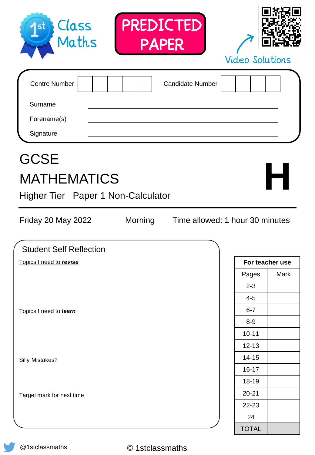| Class<br>Maths<br>St                                                                          | PREDICTED<br><b>PAPER</b> |                                 | <b>Video Solutions</b> |                 |
|-----------------------------------------------------------------------------------------------|---------------------------|---------------------------------|------------------------|-----------------|
| <b>Centre Number</b><br>Surname<br>Forename(s)<br>Signature                                   |                           | <b>Candidate Number</b>         |                        |                 |
| <b>GCSE</b><br><b>MATHEMATICS</b><br>Higher Tier Paper 1 Non-Calculator<br>Friday 20 May 2022 | Morning                   | Time allowed: 1 hour 30 minutes |                        |                 |
| <b>Student Self Reflection</b>                                                                |                           |                                 |                        |                 |
| Topics I need to revise                                                                       |                           |                                 |                        | For teacher use |
|                                                                                               |                           |                                 | Pages                  | Mark            |
|                                                                                               |                           |                                 | $2 - 3$                |                 |
|                                                                                               |                           |                                 | $4 - 5$                |                 |
| Topics I need to learn                                                                        |                           |                                 | $6 - 7$                |                 |
|                                                                                               |                           |                                 | $8-9$                  |                 |
|                                                                                               |                           |                                 | $10 - 11$              |                 |
|                                                                                               |                           |                                 | $12 - 13$              |                 |
| <b>Silly Mistakes?</b>                                                                        |                           |                                 | $14 - 15$              |                 |
|                                                                                               |                           |                                 | $16 - 17$              |                 |
|                                                                                               |                           |                                 | 18-19                  |                 |
| Target mark for next time                                                                     |                           |                                 | $20 - 21$              |                 |
|                                                                                               |                           |                                 | 22-23                  |                 |
|                                                                                               |                           |                                 | 24                     |                 |
|                                                                                               |                           |                                 | <b>TOTAL</b>           |                 |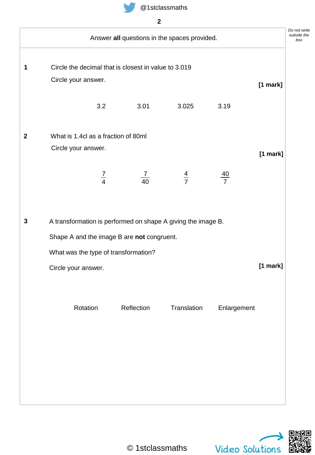

|                     |                                     |                                                      | Answer all questions in the spaces provided.                 |                |            |
|---------------------|-------------------------------------|------------------------------------------------------|--------------------------------------------------------------|----------------|------------|
|                     |                                     | Circle the decimal that is closest in value to 3.019 |                                                              |                |            |
| Circle your answer. |                                     |                                                      |                                                              |                | [1 mark]   |
|                     |                                     |                                                      |                                                              |                |            |
|                     | 3.2                                 | 3.01                                                 | 3.025                                                        | 3.19           |            |
|                     |                                     |                                                      |                                                              |                |            |
|                     | What is 1.4cl as a fraction of 80ml |                                                      |                                                              |                |            |
| Circle your answer. |                                     |                                                      |                                                              |                | [1 mark]   |
|                     | $\frac{7}{4}$                       | $\frac{7}{40}$                                       | $rac{4}{7}$                                                  | $\frac{40}{7}$ |            |
|                     |                                     |                                                      |                                                              |                |            |
|                     |                                     |                                                      |                                                              |                |            |
|                     |                                     |                                                      | A transformation is performed on shape A giving the image B. |                |            |
|                     |                                     | Shape A and the image B are not congruent.           |                                                              |                |            |
|                     |                                     | What was the type of transformation?                 |                                                              |                |            |
| Circle your answer. |                                     |                                                      |                                                              |                | $[1$ mark] |
|                     |                                     |                                                      |                                                              |                |            |
|                     |                                     |                                                      |                                                              |                |            |
|                     | Rotation                            | Reflection                                           | Translation                                                  | Enlargement    |            |
|                     |                                     |                                                      |                                                              |                |            |
|                     |                                     |                                                      |                                                              |                |            |
|                     |                                     |                                                      |                                                              |                |            |
|                     |                                     |                                                      |                                                              |                |            |
|                     |                                     |                                                      |                                                              |                |            |
|                     |                                     |                                                      |                                                              |                |            |

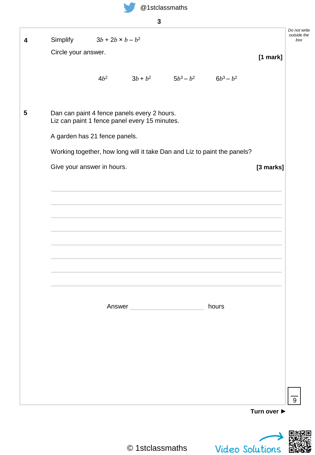

| . .              |
|------------------|
| ۱<br>I<br>×<br>٧ |
|                  |

|                     | Simplify $3b + 2b \times b - b^2$                                                            |        |                                      |                                                                          |             |
|---------------------|----------------------------------------------------------------------------------------------|--------|--------------------------------------|--------------------------------------------------------------------------|-------------|
| Circle your answer. |                                                                                              |        |                                      |                                                                          | $[1$ mark]  |
|                     |                                                                                              |        |                                      |                                                                          |             |
|                     | $4b^2$                                                                                       |        | $3b + b^2$ $5b^3 - b^2$ $6b^3 - b^2$ |                                                                          |             |
|                     |                                                                                              |        |                                      |                                                                          |             |
|                     | Dan can paint 4 fence panels every 2 hours.<br>Liz can paint 1 fence panel every 15 minutes. |        |                                      |                                                                          |             |
|                     | A garden has 21 fence panels.                                                                |        |                                      |                                                                          |             |
|                     |                                                                                              |        |                                      | Working together, how long will it take Dan and Liz to paint the panels? |             |
|                     | Give your answer in hours.                                                                   |        |                                      |                                                                          | [3 marks]   |
|                     |                                                                                              |        |                                      |                                                                          |             |
|                     |                                                                                              |        |                                      |                                                                          |             |
|                     |                                                                                              |        |                                      |                                                                          |             |
|                     |                                                                                              |        |                                      |                                                                          |             |
|                     |                                                                                              |        |                                      |                                                                          |             |
|                     |                                                                                              |        |                                      |                                                                          |             |
|                     |                                                                                              |        |                                      |                                                                          |             |
|                     |                                                                                              |        |                                      |                                                                          |             |
|                     |                                                                                              |        |                                      |                                                                          |             |
|                     |                                                                                              |        |                                      |                                                                          |             |
|                     |                                                                                              | Answer |                                      | hours                                                                    |             |
|                     |                                                                                              |        |                                      |                                                                          |             |
|                     |                                                                                              |        |                                      |                                                                          |             |
|                     |                                                                                              |        |                                      |                                                                          |             |
|                     |                                                                                              |        |                                      |                                                                          |             |
|                     |                                                                                              |        |                                      |                                                                          |             |
|                     |                                                                                              |        |                                      |                                                                          |             |
|                     |                                                                                              |        |                                      |                                                                          |             |
|                     |                                                                                              |        |                                      |                                                                          | Turn over ▶ |
|                     |                                                                                              |        |                                      |                                                                          |             |

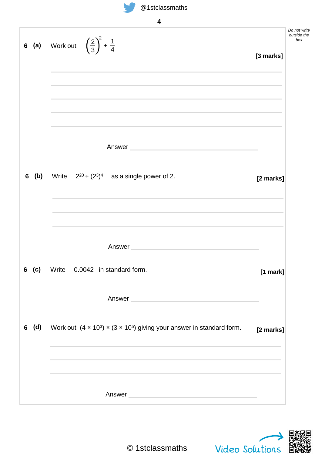|          | 4                                                                                                                                                                                                                                                                                                                       |           |
|----------|-------------------------------------------------------------------------------------------------------------------------------------------------------------------------------------------------------------------------------------------------------------------------------------------------------------------------|-----------|
|          | <b>6</b> (a) Work out $\left(\frac{2}{3}\right)^2 + \frac{1}{4}$                                                                                                                                                                                                                                                        | [3 marks] |
|          |                                                                                                                                                                                                                                                                                                                         |           |
|          | Answer and the contract of the contract of the contract of the contract of the contract of the contract of the                                                                                                                                                                                                          |           |
| (b)<br>6 | Write $2^{20} \div (2^3)^4$ as a single power of 2.                                                                                                                                                                                                                                                                     | [2 marks] |
|          | Answer and the contract of the contract of the contract of the contract of the contract of the contract of the                                                                                                                                                                                                          |           |
| 6 (c)    | Write 0.0042 in standard form.                                                                                                                                                                                                                                                                                          | [1 mark]  |
|          | Answer <b>Contract Contract Contract Contract Contract Contract Contract Contract Contract Contract Contract Contract Contract Contract Contract Contract Contract Contract Contract Contract Contract Contract Contract Contrac</b>                                                                                    |           |
| 6 (d)    | Work out $(4 \times 10^3) \times (3 \times 10^5)$ giving your answer in standard form.<br>the control of the control of the control of the control of the control of the control of the control of the control of the control of the control of the control of the control of the control of the control of the control | [2 marks] |
|          |                                                                                                                                                                                                                                                                                                                         |           |
|          | Answer                                                                                                                                                                                                                                                                                                                  |           |

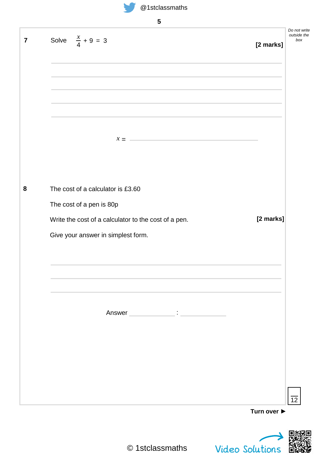

| @1stclassmaths |  |
|----------------|--|
|----------------|--|

| 5                                                                                                                                                                                                                                                                                                                                   |                                 |
|-------------------------------------------------------------------------------------------------------------------------------------------------------------------------------------------------------------------------------------------------------------------------------------------------------------------------------------|---------------------------------|
| Solve $\frac{x}{4} + 9 = 3$                                                                                                                                                                                                                                                                                                         | [2 marks]                       |
|                                                                                                                                                                                                                                                                                                                                     |                                 |
|                                                                                                                                                                                                                                                                                                                                     |                                 |
|                                                                                                                                                                                                                                                                                                                                     |                                 |
| $\mathcal{X} = \begin{bmatrix} 1 & 0 & 0 \\ 0 & 0 & 0 \\ 0 & 0 & 0 \\ 0 & 0 & 0 \\ 0 & 0 & 0 \\ 0 & 0 & 0 \\ 0 & 0 & 0 \\ 0 & 0 & 0 \\ 0 & 0 & 0 & 0 \\ 0 & 0 & 0 & 0 \\ 0 & 0 & 0 & 0 \\ 0 & 0 & 0 & 0 & 0 \\ 0 & 0 & 0 & 0 & 0 \\ 0 & 0 & 0 & 0 & 0 \\ 0 & 0 & 0 & 0 & 0 & 0 \\ 0 & 0 & 0 & 0 & 0 & 0 \\ 0 & 0 & 0 & 0 & 0 & 0 &$ |                                 |
|                                                                                                                                                                                                                                                                                                                                     |                                 |
| The cost of a calculator is £3.60                                                                                                                                                                                                                                                                                                   |                                 |
| The cost of a pen is 80p                                                                                                                                                                                                                                                                                                            |                                 |
| Write the cost of a calculator to the cost of a pen.                                                                                                                                                                                                                                                                                | [2 marks]                       |
| Give your answer in simplest form.                                                                                                                                                                                                                                                                                                  |                                 |
|                                                                                                                                                                                                                                                                                                                                     |                                 |
| Answer experience and the state of the state of the state of the state of the state of the state of the state of the state of the state of the state of the state of the state of the state of the state of the state of the s                                                                                                      |                                 |
|                                                                                                                                                                                                                                                                                                                                     |                                 |
|                                                                                                                                                                                                                                                                                                                                     |                                 |
|                                                                                                                                                                                                                                                                                                                                     |                                 |
|                                                                                                                                                                                                                                                                                                                                     |                                 |
|                                                                                                                                                                                                                                                                                                                                     | Turn over $\blacktriangleright$ |

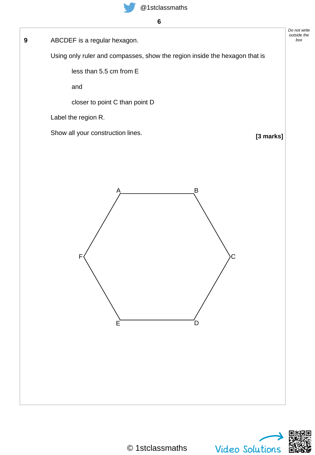ABCDEF is a regular hexagon. **9** *box*

Using only ruler and compasses, show the region inside the hexagon that is

less than 5.5 cm from E

and

closer to point C than point D

Label the region R.

Show all your construction lines.

**[3 marks]**

*Do not write outside the*



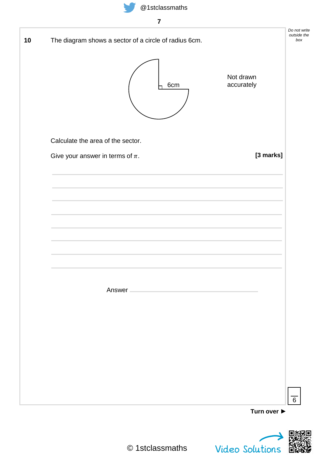

| The diagram shows a sector of a circle of radius 6cm. |                         | Do not write<br>outside the<br>box |
|-------------------------------------------------------|-------------------------|------------------------------------|
| 6cm                                                   | Not drawn<br>accurately |                                    |
| Calculate the area of the sector.                     |                         |                                    |
| Give your answer in terms of $\pi$ .                  | [3 marks]               |                                    |
|                                                       |                         |                                    |
|                                                       |                         |                                    |
|                                                       |                         |                                    |
|                                                       |                         |                                    |
|                                                       |                         |                                    |
|                                                       |                         |                                    |
| Answer -                                              |                         |                                    |
|                                                       |                         |                                    |
|                                                       |                         |                                    |
|                                                       |                         |                                    |
|                                                       |                         |                                    |
|                                                       |                         |                                    |

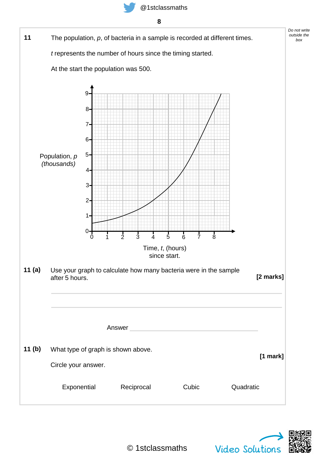





**(a)**

**(b)**



Video Solutions

*Do not write outside the box*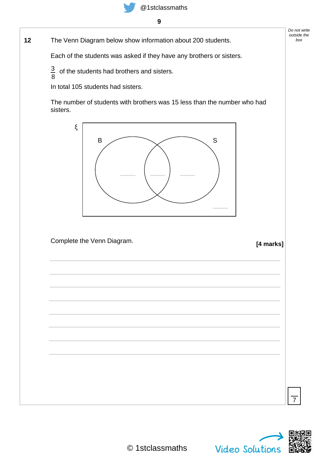The Venn Diagram below show information about 200 students. **12** *box*

Each of the students was asked if they have any brothers or sisters.

 $\frac{3}{2}$  of the students had brothers and sisters. 8

In total 105 students had sisters.

The number of students with brothers was 15 less than the number who had sisters.



Complete the Venn Diagram.

**[4 marks]**





7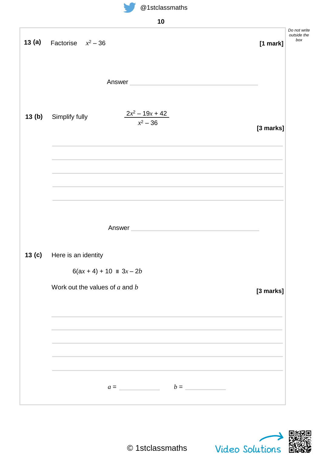



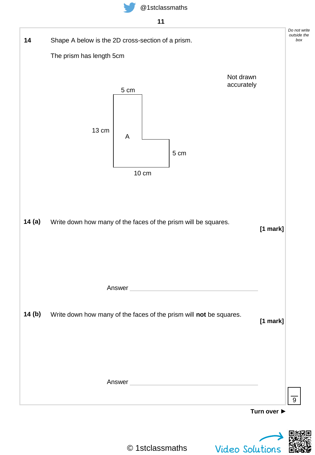





© 1stclassmaths

Video Solutions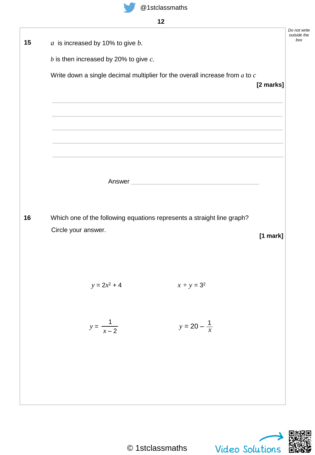

| $a$ is increased by 10% to give $b$ . |                                            |                                                                                                                                                                                                                               |           |
|---------------------------------------|--------------------------------------------|-------------------------------------------------------------------------------------------------------------------------------------------------------------------------------------------------------------------------------|-----------|
|                                       | $b$ is then increased by 20% to give $c$ . |                                                                                                                                                                                                                               |           |
|                                       |                                            | Write down a single decimal multiplier for the overall increase from $a$ to $c$                                                                                                                                               |           |
|                                       |                                            |                                                                                                                                                                                                                               | [2 marks] |
|                                       |                                            | the control of the control of the control of the control of the control of the control of the control of the control of the control of the control of the control of the control of the control of the control of the control |           |
|                                       |                                            |                                                                                                                                                                                                                               |           |
|                                       |                                            | and the control of the control of the control of the control of the control of the control of the control of the                                                                                                              |           |
|                                       |                                            |                                                                                                                                                                                                                               |           |
|                                       |                                            |                                                                                                                                                                                                                               |           |
|                                       |                                            | Answer                                                                                                                                                                                                                        |           |
|                                       |                                            |                                                                                                                                                                                                                               |           |
|                                       |                                            |                                                                                                                                                                                                                               |           |
|                                       |                                            | Which one of the following equations represents a straight line graph?                                                                                                                                                        |           |
| Circle your answer.                   |                                            |                                                                                                                                                                                                                               | [1 mark]  |
|                                       |                                            |                                                                                                                                                                                                                               |           |
|                                       |                                            |                                                                                                                                                                                                                               |           |
|                                       | $y = 2x^2 + 4$                             | $x + y = 3^2$                                                                                                                                                                                                                 |           |
|                                       |                                            |                                                                                                                                                                                                                               |           |
|                                       |                                            |                                                                                                                                                                                                                               |           |
|                                       | $y = \frac{1}{x-2}$                        | $y = 20 - \frac{1}{x}$                                                                                                                                                                                                        |           |
|                                       |                                            |                                                                                                                                                                                                                               |           |
|                                       |                                            |                                                                                                                                                                                                                               |           |
|                                       |                                            |                                                                                                                                                                                                                               |           |

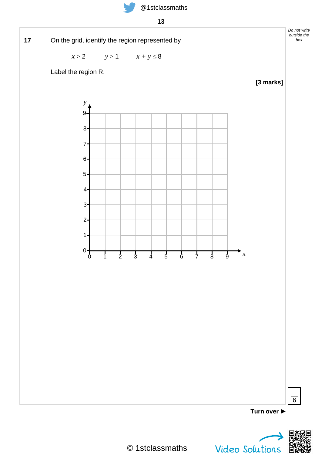



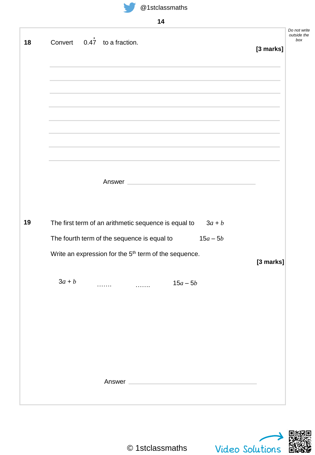

|  |  | e i siciassific |  |
|--|--|-----------------|--|
|  |  |                 |  |
|  |  |                 |  |

|    | 14                                                                |           |                                    |
|----|-------------------------------------------------------------------|-----------|------------------------------------|
| 18 | Convert $0.47$ to a fraction.                                     | [3 marks] | Do not write<br>outside the<br>box |
|    |                                                                   |           |                                    |
|    |                                                                   |           |                                    |
|    | Answer                                                            |           |                                    |
| 19 | The first term of an arithmetic sequence is equal to<br>$3a + b$  |           |                                    |
|    | The fourth term of the sequence is equal to<br>$15a - 5b$         |           |                                    |
|    | Write an expression for the 5 <sup>th</sup> term of the sequence. | [3 marks] |                                    |
|    | $3a + b$<br>$15a - 5b$                                            |           |                                    |
|    |                                                                   |           |                                    |
|    |                                                                   |           |                                    |
|    |                                                                   |           |                                    |
|    | Answer                                                            |           |                                    |
|    |                                                                   |           |                                    |

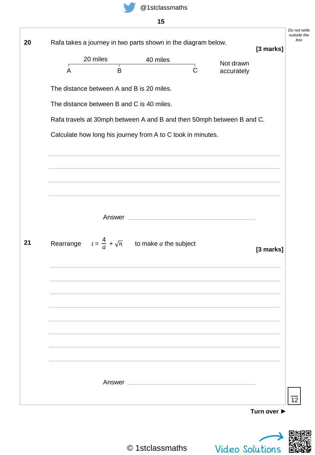

**15**

|                |                                                                     |                                                                                                                | Rafa takes a journey in two parts shown in the diagram below. |                                                                       | [3 marks] |
|----------------|---------------------------------------------------------------------|----------------------------------------------------------------------------------------------------------------|---------------------------------------------------------------|-----------------------------------------------------------------------|-----------|
|                | 20 miles<br>т                                                       | 40 miles                                                                                                       |                                                               | Not drawn                                                             |           |
| $\overline{A}$ | B                                                                   |                                                                                                                | $\mathsf C$                                                   | accurately                                                            |           |
|                | The distance between A and B is 20 miles.                           |                                                                                                                |                                                               |                                                                       |           |
|                | The distance between B and C is 40 miles.                           |                                                                                                                |                                                               |                                                                       |           |
|                |                                                                     |                                                                                                                |                                                               | Rafa travels at 30mph between A and B and then 50mph between B and C. |           |
|                | Calculate how long his journey from A to C took in minutes.         |                                                                                                                |                                                               |                                                                       |           |
|                |                                                                     |                                                                                                                |                                                               |                                                                       |           |
|                |                                                                     |                                                                                                                |                                                               |                                                                       |           |
|                |                                                                     |                                                                                                                |                                                               |                                                                       |           |
|                |                                                                     |                                                                                                                |                                                               |                                                                       |           |
|                |                                                                     | Answer and the contract of the contract of the contract of the contract of the contract of the contract of the |                                                               |                                                                       |           |
|                |                                                                     |                                                                                                                |                                                               |                                                                       |           |
|                | Rearrange $t = \frac{4}{a} + \sqrt{n}$ to make <i>a</i> the subject |                                                                                                                |                                                               |                                                                       | [3 marks] |
|                |                                                                     |                                                                                                                |                                                               |                                                                       |           |
|                |                                                                     |                                                                                                                |                                                               |                                                                       |           |
|                |                                                                     |                                                                                                                |                                                               |                                                                       |           |
|                |                                                                     |                                                                                                                |                                                               |                                                                       |           |
|                |                                                                     |                                                                                                                |                                                               |                                                                       |           |
|                |                                                                     |                                                                                                                |                                                               |                                                                       |           |
|                |                                                                     |                                                                                                                |                                                               |                                                                       |           |
|                |                                                                     |                                                                                                                |                                                               |                                                                       |           |
|                |                                                                     |                                                                                                                |                                                               |                                                                       |           |
|                |                                                                     |                                                                                                                |                                                               |                                                                       |           |
|                |                                                                     | Answer and the contract of the contract of the contract of the contract of the contract of the contract of the |                                                               |                                                                       |           |

Video Solutions

Ő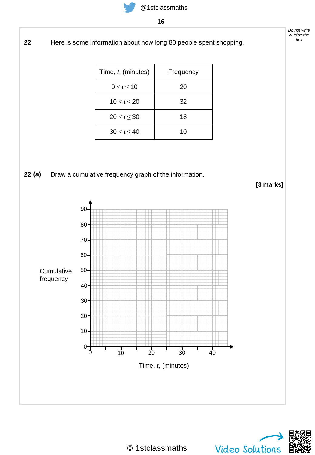Here is some information about how long 80 people spent shopping. 

| Time, t, (minutes) | Frequency |
|--------------------|-----------|
| $0 < t \leq 10$    | 20        |
| $10 < t \le 20$    | 32        |
| $20 < t \leq 30$   | 18        |
| $30 < t \leq 40$   | 10        |

#### Draw a cumulative frequency graph of the information. **(a)**





*Do not write outside the box*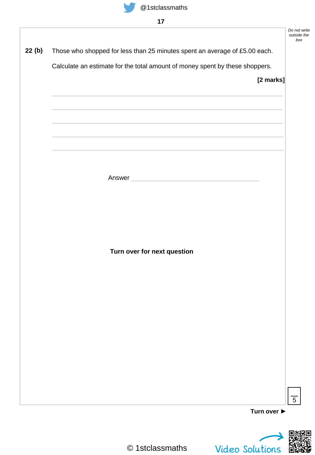Those who shopped for less than 25 minutes spent an average of £5.00 each. **22 (b)**

Calculate an estimate for the total amount of money spent by these shoppers.

**[2 marks]**

*Do not write outside the box*

Answer

**Turn over for next question**



**Turn over ►**

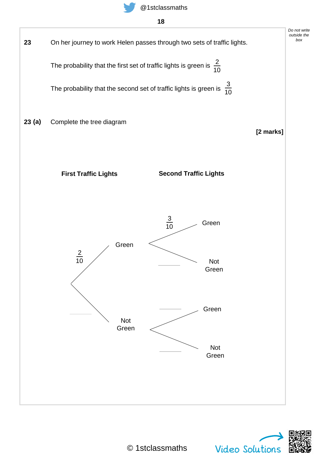





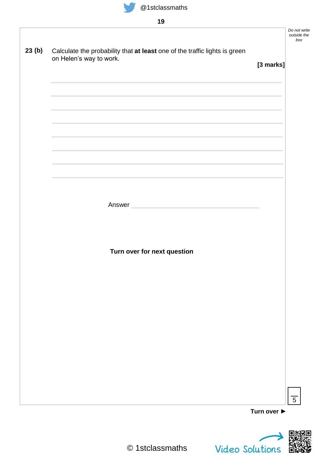

|       |                                                                                                                                                                                                                                      |                                 | Do not write<br>outside the<br>box |
|-------|--------------------------------------------------------------------------------------------------------------------------------------------------------------------------------------------------------------------------------------|---------------------------------|------------------------------------|
| 23(b) | Calculate the probability that at least one of the traffic lights is green                                                                                                                                                           |                                 |                                    |
|       | on Helen's way to work.                                                                                                                                                                                                              |                                 |                                    |
|       |                                                                                                                                                                                                                                      | [3 marks]                       |                                    |
|       |                                                                                                                                                                                                                                      |                                 |                                    |
|       |                                                                                                                                                                                                                                      |                                 |                                    |
|       |                                                                                                                                                                                                                                      |                                 |                                    |
|       |                                                                                                                                                                                                                                      |                                 |                                    |
|       |                                                                                                                                                                                                                                      |                                 |                                    |
|       |                                                                                                                                                                                                                                      |                                 |                                    |
|       |                                                                                                                                                                                                                                      |                                 |                                    |
|       |                                                                                                                                                                                                                                      |                                 |                                    |
|       |                                                                                                                                                                                                                                      |                                 |                                    |
|       |                                                                                                                                                                                                                                      |                                 |                                    |
|       |                                                                                                                                                                                                                                      |                                 |                                    |
|       | Answer <b>Executive Contract Contract Contract Contract Contract Contract Contract Contract Contract Contract Contract Contract Contract Contract Contract Contract Contract Contract Contract Contract Contract Contract Contra</b> |                                 |                                    |
|       |                                                                                                                                                                                                                                      |                                 |                                    |
|       |                                                                                                                                                                                                                                      |                                 |                                    |
|       |                                                                                                                                                                                                                                      |                                 |                                    |
|       | Turn over for next question                                                                                                                                                                                                          |                                 |                                    |
|       |                                                                                                                                                                                                                                      |                                 |                                    |
|       |                                                                                                                                                                                                                                      |                                 |                                    |
|       |                                                                                                                                                                                                                                      |                                 |                                    |
|       |                                                                                                                                                                                                                                      |                                 |                                    |
|       |                                                                                                                                                                                                                                      |                                 |                                    |
|       |                                                                                                                                                                                                                                      |                                 |                                    |
|       |                                                                                                                                                                                                                                      |                                 |                                    |
|       |                                                                                                                                                                                                                                      |                                 |                                    |
|       |                                                                                                                                                                                                                                      |                                 |                                    |
|       |                                                                                                                                                                                                                                      |                                 |                                    |
|       |                                                                                                                                                                                                                                      |                                 |                                    |
|       |                                                                                                                                                                                                                                      |                                 |                                    |
|       |                                                                                                                                                                                                                                      |                                 | $\overline{5}$                     |
|       |                                                                                                                                                                                                                                      | Turn over $\blacktriangleright$ |                                    |

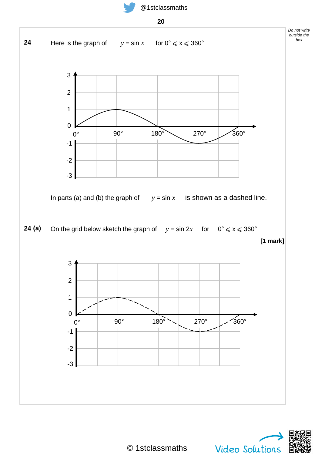



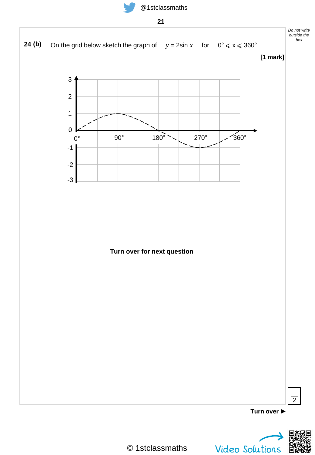

**21**



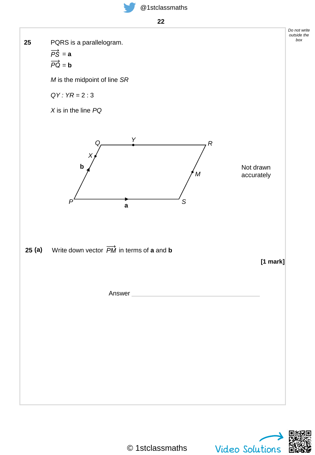**22**





*Do not write outside the*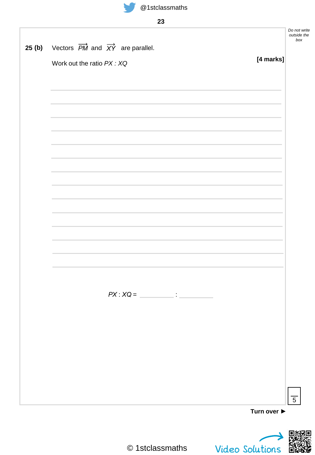

|       |                                                                       |                                 | Do not write<br>outside the<br>box |
|-------|-----------------------------------------------------------------------|---------------------------------|------------------------------------|
| 25(b) | Vectors $\overrightarrow{PM}$ and $\overrightarrow{XY}$ are parallel. |                                 |                                    |
|       | Work out the ratio PX: XQ                                             | [4 marks]                       |                                    |
|       |                                                                       |                                 |                                    |
|       |                                                                       |                                 |                                    |
|       |                                                                       |                                 |                                    |
|       |                                                                       |                                 |                                    |
|       |                                                                       |                                 |                                    |
|       |                                                                       |                                 |                                    |
|       |                                                                       |                                 |                                    |
|       |                                                                       |                                 |                                    |
|       |                                                                       |                                 |                                    |
|       |                                                                       |                                 |                                    |
|       |                                                                       |                                 |                                    |
|       |                                                                       |                                 |                                    |
|       |                                                                       |                                 |                                    |
|       |                                                                       |                                 |                                    |
|       |                                                                       |                                 | $\overline{5}$                     |
|       |                                                                       | Turn over $\blacktriangleright$ |                                    |